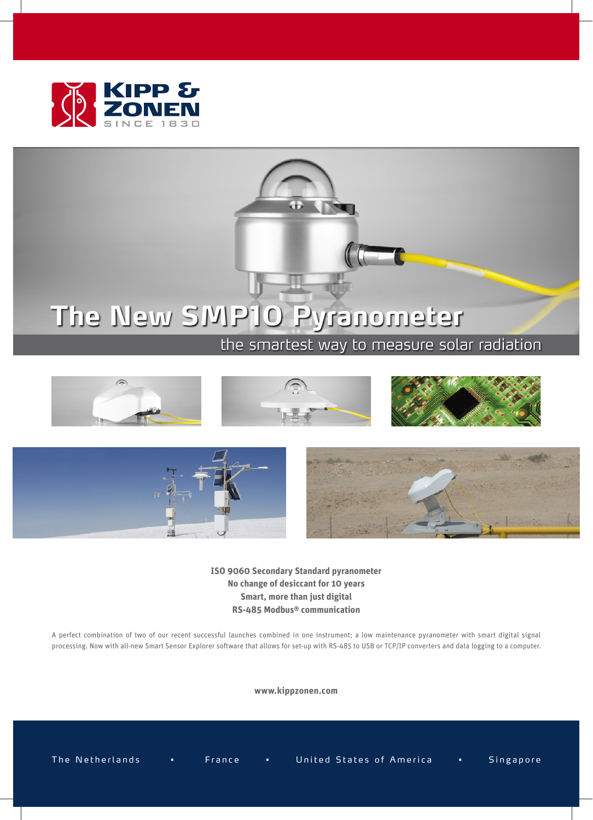



## **The New SMP10 Pyranometer**

## the smartest way to measure solar radiation





**ISO 9060 Secondary Standard pyranometer No change of desiccant for 10 years Smart, more than just digital RS-485 Modbus® communication**

A perfect combination of two of our recent successful launches combined in one instrument; a low maintenance pyranometer with smart digital signal processing. Now with all-new Smart Sensor Explorer software that allows for set-up with RS-485 to USB or TCP/IP converters and data logging to a computer.

**www.kippzonen.com**

The Netherlands • France • United States of America • Singapore